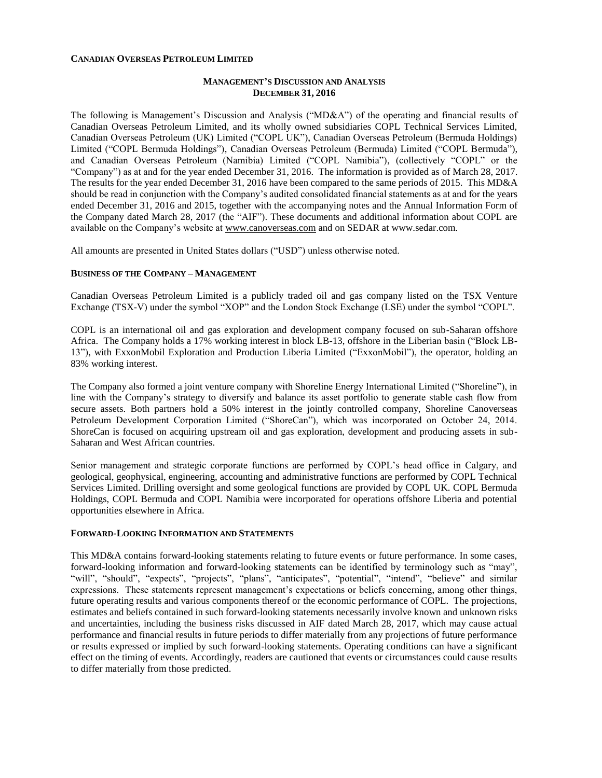### **CANADIAN OVERSEAS PETROLEUM LIMITED**

## **MANAGEMENT'S DISCUSSION AND ANALYSIS DECEMBER 31, 2016**

The following is Management's Discussion and Analysis ("MD&A") of the operating and financial results of Canadian Overseas Petroleum Limited, and its wholly owned subsidiaries COPL Technical Services Limited, Canadian Overseas Petroleum (UK) Limited ("COPL UK"), Canadian Overseas Petroleum (Bermuda Holdings) Limited ("COPL Bermuda Holdings"), Canadian Overseas Petroleum (Bermuda) Limited ("COPL Bermuda"), and Canadian Overseas Petroleum (Namibia) Limited ("COPL Namibia"), (collectively "COPL" or the "Company") as at and for the year ended December 31, 2016. The information is provided as of March 28, 2017. The results for the year ended December 31, 2016 have been compared to the same periods of 2015. This MD&A should be read in conjunction with the Company's audited consolidated financial statements as at and for the years ended December 31, 2016 and 2015, together with the accompanying notes and the Annual Information Form of the Company dated March 28, 2017 (the "AIF"). These documents and additional information about COPL are available on the Company's website at [www.canoverseas.com](http://www.canoverseas.com/) and on SEDAR at [www.sedar.com.](http://www.sedar.com/)

All amounts are presented in United States dollars ("USD") unless otherwise noted.

#### **BUSINESS OF THE COMPANY – MANAGEMENT**

Canadian Overseas Petroleum Limited is a publicly traded oil and gas company listed on the TSX Venture Exchange (TSX-V) under the symbol "XOP" and the London Stock Exchange (LSE) under the symbol "COPL".

COPL is an international oil and gas exploration and development company focused on sub-Saharan offshore Africa. The Company holds a 17% working interest in block LB-13, offshore in the Liberian basin ("Block LB-13"), with ExxonMobil Exploration and Production Liberia Limited ("ExxonMobil"), the operator, holding an 83% working interest.

The Company also formed a joint venture company with Shoreline Energy International Limited ("Shoreline"), in line with the Company's strategy to diversify and balance its asset portfolio to generate stable cash flow from secure assets. Both partners hold a 50% interest in the jointly controlled company, Shoreline Canoverseas Petroleum Development Corporation Limited ("ShoreCan"), which was incorporated on October 24, 2014. ShoreCan is focused on acquiring upstream oil and gas exploration, development and producing assets in sub-Saharan and West African countries.

Senior management and strategic corporate functions are performed by COPL's head office in Calgary, and geological, geophysical, engineering, accounting and administrative functions are performed by COPL Technical Services Limited. Drilling oversight and some geological functions are provided by COPL UK. COPL Bermuda Holdings, COPL Bermuda and COPL Namibia were incorporated for operations offshore Liberia and potential opportunities elsewhere in Africa.

#### **FORWARD-LOOKING INFORMATION AND STATEMENTS**

This MD&A contains forward-looking statements relating to future events or future performance. In some cases, forward-looking information and forward-looking statements can be identified by terminology such as "may", "will", "should", "expects", "projects", "plans", "anticipates", "potential", "intend", "believe" and similar expressions. These statements represent management's expectations or beliefs concerning, among other things, future operating results and various components thereof or the economic performance of COPL. The projections, estimates and beliefs contained in such forward-looking statements necessarily involve known and unknown risks and uncertainties, including the business risks discussed in AIF dated March 28, 2017, which may cause actual performance and financial results in future periods to differ materially from any projections of future performance or results expressed or implied by such forward-looking statements. Operating conditions can have a significant effect on the timing of events. Accordingly, readers are cautioned that events or circumstances could cause results to differ materially from those predicted.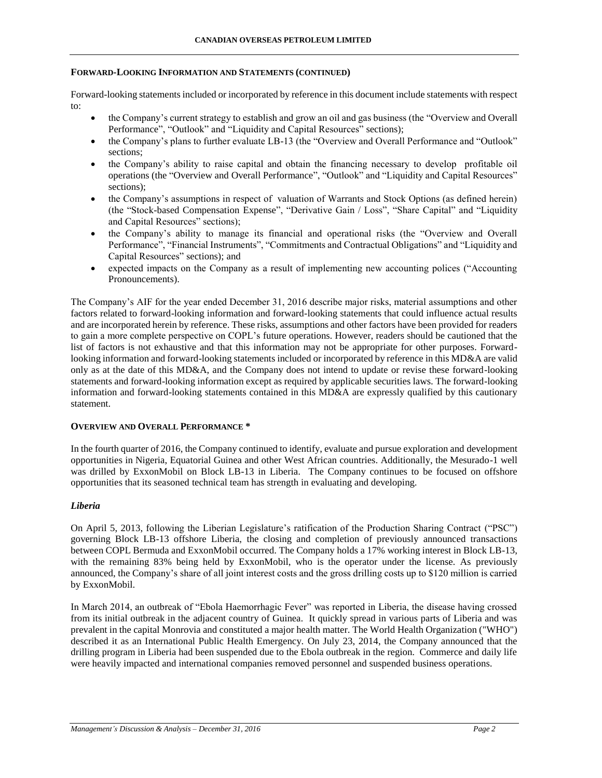## **FORWARD-LOOKING INFORMATION AND STATEMENTS (CONTINUED)**

Forward-looking statements included or incorporated by reference in this document include statements with respect to:

- the Company's current strategy to establish and grow an oil and gas business (the "Overview and Overall Performance", "Outlook" and "Liquidity and Capital Resources" sections);
- the Company's plans to further evaluate LB-13 (the "Overview and Overall Performance and "Outlook" sections;
- the Company's ability to raise capital and obtain the financing necessary to develop profitable oil operations (the "Overview and Overall Performance", "Outlook" and "Liquidity and Capital Resources" sections);
- the Company's assumptions in respect of valuation of Warrants and Stock Options (as defined herein) (the "Stock-based Compensation Expense", "Derivative Gain / Loss", "Share Capital" and "Liquidity and Capital Resources" sections);
- the Company's ability to manage its financial and operational risks (the "Overview and Overall Performance", "Financial Instruments", "Commitments and Contractual Obligations" and "Liquidity and Capital Resources" sections); and
- expected impacts on the Company as a result of implementing new accounting polices ("Accounting Pronouncements).

The Company's AIF for the year ended December 31, 2016 describe major risks, material assumptions and other factors related to forward-looking information and forward-looking statements that could influence actual results and are incorporated herein by reference. These risks, assumptions and other factors have been provided for readers to gain a more complete perspective on COPL's future operations. However, readers should be cautioned that the list of factors is not exhaustive and that this information may not be appropriate for other purposes. Forwardlooking information and forward-looking statements included or incorporated by reference in this MD&A are valid only as at the date of this MD&A, and the Company does not intend to update or revise these forward-looking statements and forward-looking information except as required by applicable securities laws. The forward-looking information and forward-looking statements contained in this MD&A are expressly qualified by this cautionary statement.

### **OVERVIEW AND OVERALL PERFORMANCE \***

In the fourth quarter of 2016, the Company continued to identify, evaluate and pursue exploration and development opportunities in Nigeria, Equatorial Guinea and other West African countries. Additionally, the Mesurado-1 well was drilled by ExxonMobil on Block LB-13 in Liberia. The Company continues to be focused on offshore opportunities that its seasoned technical team has strength in evaluating and developing.

## *Liberia*

On April 5, 2013, following the Liberian Legislature's ratification of the Production Sharing Contract ("PSC") governing Block LB-13 offshore Liberia, the closing and completion of previously announced transactions between COPL Bermuda and ExxonMobil occurred. The Company holds a 17% working interest in Block LB-13, with the remaining 83% being held by ExxonMobil, who is the operator under the license. As previously announced, the Company's share of all joint interest costs and the gross drilling costs up to \$120 million is carried by ExxonMobil.

In March 2014, an outbreak of "Ebola Haemorrhagic Fever" was reported in Liberia, the disease having crossed from its initial outbreak in the adjacent country of Guinea. It quickly spread in various parts of Liberia and was prevalent in the capital Monrovia and constituted a major health matter. The World Health Organization ("WHO") described it as an International Public Health Emergency. On July 23, 2014, the Company announced that the drilling program in Liberia had been suspended due to the Ebola outbreak in the region. Commerce and daily life were heavily impacted and international companies removed personnel and suspended business operations.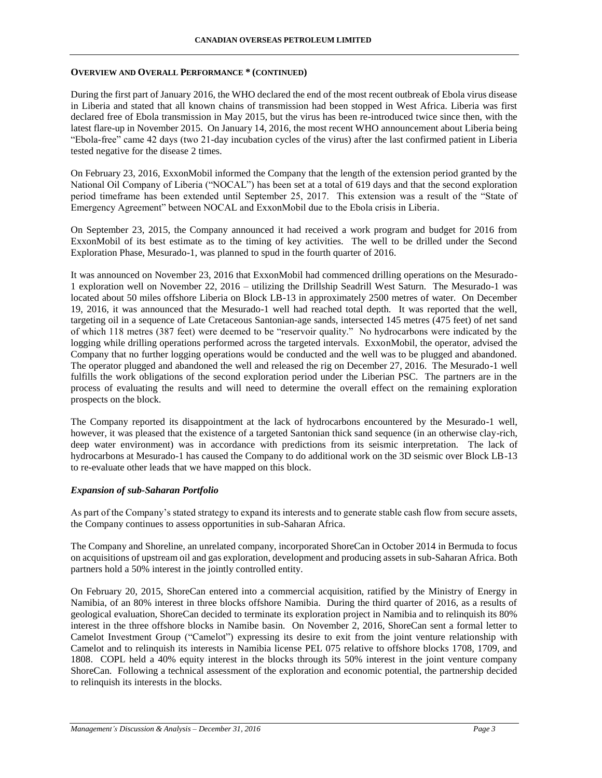## **OVERVIEW AND OVERALL PERFORMANCE \* (CONTINUED)**

During the first part of January 2016, the WHO declared the end of the most recent outbreak of Ebola virus disease in Liberia and stated that all known chains of transmission had been stopped in West Africa. Liberia was first declared free of Ebola transmission in May 2015, but the virus has been re-introduced twice since then, with the latest flare-up in November 2015. On January 14, 2016, the most recent WHO announcement about Liberia being "Ebola-free" came 42 days (two 21-day incubation cycles of the virus) after the last confirmed patient in Liberia tested negative for the disease 2 times.

On February 23, 2016, ExxonMobil informed the Company that the length of the extension period granted by the National Oil Company of Liberia ("NOCAL") has been set at a total of 619 days and that the second exploration period timeframe has been extended until September 25, 2017. This extension was a result of the "State of Emergency Agreement" between NOCAL and ExxonMobil due to the Ebola crisis in Liberia.

On September 23, 2015, the Company announced it had received a work program and budget for 2016 from ExxonMobil of its best estimate as to the timing of key activities. The well to be drilled under the Second Exploration Phase, Mesurado-1, was planned to spud in the fourth quarter of 2016.

It was announced on November 23, 2016 that ExxonMobil had commenced drilling operations on the Mesurado-1 exploration well on November 22, 2016 – utilizing the Drillship Seadrill West Saturn. The Mesurado-1 was located about 50 miles offshore Liberia on Block LB-13 in approximately 2500 metres of water. On December 19, 2016, it was announced that the Mesurado-1 well had reached total depth. It was reported that the well, targeting oil in a sequence of Late Cretaceous Santonian-age sands, intersected 145 metres (475 feet) of net sand of which 118 metres (387 feet) were deemed to be "reservoir quality." No hydrocarbons were indicated by the logging while drilling operations performed across the targeted intervals. ExxonMobil, the operator, advised the Company that no further logging operations would be conducted and the well was to be plugged and abandoned. The operator plugged and abandoned the well and released the rig on December 27, 2016. The Mesurado-1 well fulfills the work obligations of the second exploration period under the Liberian PSC. The partners are in the process of evaluating the results and will need to determine the overall effect on the remaining exploration prospects on the block.

The Company reported its disappointment at the lack of hydrocarbons encountered by the Mesurado-1 well, however, it was pleased that the existence of a targeted Santonian thick sand sequence (in an otherwise clay-rich, deep water environment) was in accordance with predictions from its seismic interpretation. The lack of hydrocarbons at Mesurado-1 has caused the Company to do additional work on the 3D seismic over Block LB-13 to re-evaluate other leads that we have mapped on this block.

## *Expansion of sub-Saharan Portfolio*

As part of the Company's stated strategy to expand its interests and to generate stable cash flow from secure assets, the Company continues to assess opportunities in sub-Saharan Africa.

The Company and Shoreline, an unrelated company, incorporated ShoreCan in October 2014 in Bermuda to focus on acquisitions of upstream oil and gas exploration, development and producing assets in sub-Saharan Africa. Both partners hold a 50% interest in the jointly controlled entity.

On February 20, 2015, ShoreCan entered into a commercial acquisition, ratified by the Ministry of Energy in Namibia, of an 80% interest in three blocks offshore Namibia. During the third quarter of 2016, as a results of geological evaluation, ShoreCan decided to terminate its exploration project in Namibia and to relinquish its 80% interest in the three offshore blocks in Namibe basin. On November 2, 2016, ShoreCan sent a formal letter to Camelot Investment Group ("Camelot") expressing its desire to exit from the joint venture relationship with Camelot and to relinquish its interests in Namibia license PEL 075 relative to offshore blocks 1708, 1709, and 1808. COPL held a 40% equity interest in the blocks through its 50% interest in the joint venture company ShoreCan. Following a technical assessment of the exploration and economic potential, the partnership decided to relinquish its interests in the blocks.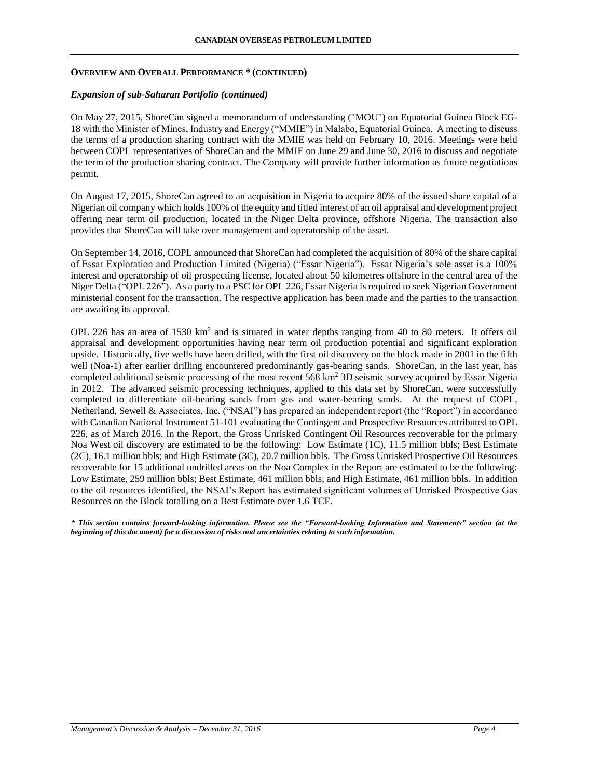## **OVERVIEW AND OVERALL PERFORMANCE \* (CONTINUED)**

## *Expansion of sub-Saharan Portfolio (continued)*

On May 27, 2015, ShoreCan signed a memorandum of understanding ("MOU") on Equatorial Guinea Block EG-18 with the Minister of Mines, Industry and Energy ("MMIE") in Malabo, Equatorial Guinea. A meeting to discuss the terms of a production sharing contract with the MMIE was held on February 10, 2016. Meetings were held between COPL representatives of ShoreCan and the MMIE on June 29 and June 30, 2016 to discuss and negotiate the term of the production sharing contract. The Company will provide further information as future negotiations permit.

On August 17, 2015, ShoreCan agreed to an acquisition in Nigeria to acquire 80% of the issued share capital of a Nigerian oil company which holds 100% of the equity and titled interest of an oil appraisal and development project offering near term oil production, located in the Niger Delta province, offshore Nigeria. The transaction also provides that ShoreCan will take over management and operatorship of the asset.

On September 14, 2016, COPL announced that ShoreCan had completed the acquisition of 80% of the share capital of Essar Exploration and Production Limited (Nigeria) ("Essar Nigeria"). Essar Nigeria's sole asset is a 100% interest and operatorship of oil prospecting license, located about 50 kilometres offshore in the central area of the Niger Delta ("OPL 226"). As a party to a PSC for OPL 226, Essar Nigeria is required to seek Nigerian Government ministerial consent for the transaction. The respective application has been made and the parties to the transaction are awaiting its approval.

OPL 226 has an area of 1530 km<sup>2</sup> and is situated in water depths ranging from 40 to 80 meters. It offers oil appraisal and development opportunities having near term oil production potential and significant exploration upside. Historically, five wells have been drilled, with the first oil discovery on the block made in 2001 in the fifth well (Noa-1) after earlier drilling encountered predominantly gas-bearing sands. ShoreCan, in the last year, has completed additional seismic processing of the most recent 568 km<sup>2</sup> 3D seismic survey acquired by Essar Nigeria in 2012. The advanced seismic processing techniques, applied to this data set by ShoreCan, were successfully completed to differentiate oil-bearing sands from gas and water-bearing sands. At the request of COPL, Netherland, Sewell & Associates, Inc. ("NSAI") has prepared an independent report (the "Report") in accordance with Canadian National Instrument 51-101 evaluating the Contingent and Prospective Resources attributed to OPL 226, as of March 2016. In the Report, the Gross Unrisked Contingent Oil Resources recoverable for the primary Noa West oil discovery are estimated to be the following: Low Estimate (1C), 11.5 million bbls; Best Estimate (2C), 16.1 million bbls; and High Estimate (3C), 20.7 million bbls. The Gross Unrisked Prospective Oil Resources recoverable for 15 additional undrilled areas on the Noa Complex in the Report are estimated to be the following: Low Estimate, 259 million bbls; Best Estimate, 461 million bbls; and High Estimate, 461 million bbls. In addition to the oil resources identified, the NSAI's Report has estimated significant volumes of Unrisked Prospective Gas Resources on the Block totalling on a Best Estimate over 1.6 TCF.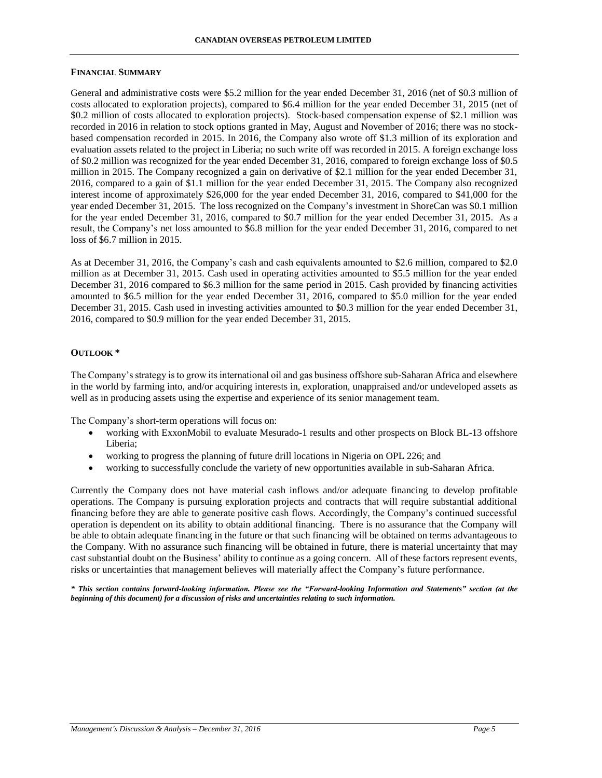#### **CANADIAN OVERSEAS PETROLEUM LIMITED**

## **FINANCIAL SUMMARY**

General and administrative costs were \$5.2 million for the year ended December 31, 2016 (net of \$0.3 million of costs allocated to exploration projects), compared to \$6.4 million for the year ended December 31, 2015 (net of \$0.2 million of costs allocated to exploration projects). Stock-based compensation expense of \$2.1 million was recorded in 2016 in relation to stock options granted in May, August and November of 2016; there was no stockbased compensation recorded in 2015. In 2016, the Company also wrote off \$1.3 million of its exploration and evaluation assets related to the project in Liberia; no such write off was recorded in 2015. A foreign exchange loss of \$0.2 million was recognized for the year ended December 31, 2016, compared to foreign exchange loss of \$0.5 million in 2015. The Company recognized a gain on derivative of \$2.1 million for the year ended December 31, 2016, compared to a gain of \$1.1 million for the year ended December 31, 2015. The Company also recognized interest income of approximately \$26,000 for the year ended December 31, 2016, compared to \$41,000 for the year ended December 31, 2015. The loss recognized on the Company's investment in ShoreCan was \$0.1 million for the year ended December 31, 2016, compared to \$0.7 million for the year ended December 31, 2015. As a result, the Company's net loss amounted to \$6.8 million for the year ended December 31, 2016, compared to net loss of \$6.7 million in 2015.

As at December 31, 2016, the Company's cash and cash equivalents amounted to \$2.6 million, compared to \$2.0 million as at December 31, 2015. Cash used in operating activities amounted to \$5.5 million for the year ended December 31, 2016 compared to \$6.3 million for the same period in 2015. Cash provided by financing activities amounted to \$6.5 million for the year ended December 31, 2016, compared to \$5.0 million for the year ended December 31, 2015. Cash used in investing activities amounted to \$0.3 million for the year ended December 31, 2016, compared to \$0.9 million for the year ended December 31, 2015.

## **OUTLOOK \***

The Company's strategy is to grow its international oil and gas business offshore sub-Saharan Africa and elsewhere in the world by farming into, and/or acquiring interests in, exploration, unappraised and/or undeveloped assets as well as in producing assets using the expertise and experience of its senior management team.

The Company's short-term operations will focus on:

- working with ExxonMobil to evaluate Mesurado-1 results and other prospects on Block BL-13 offshore Liberia;
- working to progress the planning of future drill locations in Nigeria on OPL 226; and
- working to successfully conclude the variety of new opportunities available in sub-Saharan Africa.

Currently the Company does not have material cash inflows and/or adequate financing to develop profitable operations. The Company is pursuing exploration projects and contracts that will require substantial additional financing before they are able to generate positive cash flows. Accordingly, the Company's continued successful operation is dependent on its ability to obtain additional financing. There is no assurance that the Company will be able to obtain adequate financing in the future or that such financing will be obtained on terms advantageous to the Company. With no assurance such financing will be obtained in future, there is material uncertainty that may cast substantial doubt on the Business' ability to continue as a going concern. All of these factors represent events, risks or uncertainties that management believes will materially affect the Company's future performance.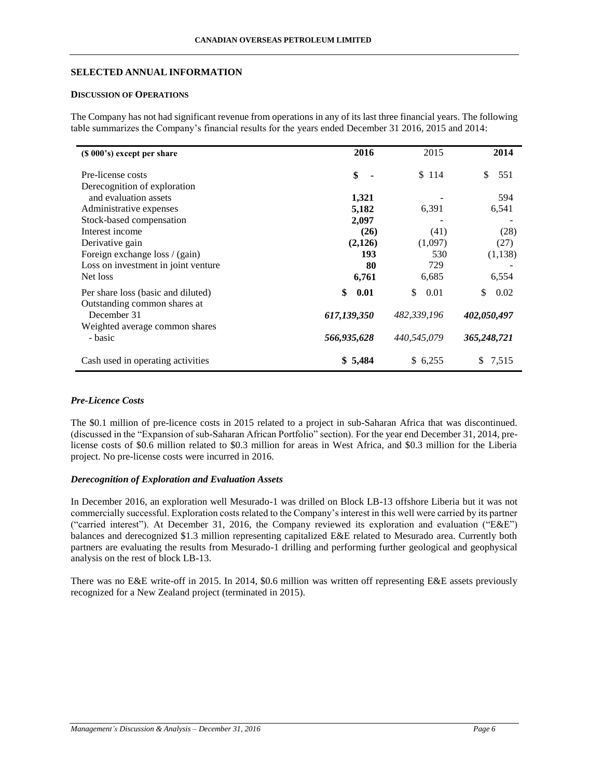## **SELECTED ANNUAL INFORMATION**

# **DISCUSSION OF OPERATIONS**

The Company has not had significant revenue from operations in any of its last three financial years. The following table summarizes the Company's financial results for the years ended December 31 2016, 2015 and 2014:

| (\$\\ 000\, 000\$) except per share         | 2016        | 2015        | 2014        |
|---------------------------------------------|-------------|-------------|-------------|
| Pre-license costs                           | \$          | \$114       | 551<br>\$.  |
| Derecognition of exploration                |             |             |             |
| and evaluation assets                       | 1,321       |             | 594         |
| Administrative expenses                     | 5,182       | 6,391       | 6,541       |
| Stock-based compensation                    | 2,097       |             |             |
| Interest income                             | (26)        | (41)        | (28)        |
| Derivative gain                             | (2,126)     | (1,097)     | (27)        |
| Foreign exchange loss / (gain)              | 193         | 530         | (1,138)     |
| Loss on investment in joint venture         | 80          | 729         |             |
| Net loss                                    | 6,761       | 6,685       | 6,554       |
| Per share loss (basic and diluted)          | \$<br>0.01  | \$.<br>0.01 | \$.<br>0.02 |
| Outstanding common shares at<br>December 31 | 617,139,350 | 482,339,196 | 402,050,497 |
| Weighted average common shares<br>- basic   | 566,935,628 | 440,545,079 | 365,248,721 |
| Cash used in operating activities           | \$5,484     | \$6,255     | \$7,515     |

# *Pre-Licence Costs*

The \$0.1 million of pre-licence costs in 2015 related to a project in sub-Saharan Africa that was discontinued. (discussed in the "Expansion of sub-Saharan African Portfolio" section). For the year end December 31, 2014, prelicense costs of \$0.6 million related to \$0.3 million for areas in West Africa, and \$0.3 million for the Liberia project. No pre-license costs were incurred in 2016.

## *Derecognition of Exploration and Evaluation Assets*

In December 2016, an exploration well Mesurado-1 was drilled on Block LB-13 offshore Liberia but it was not commercially successful. Exploration costs related to the Company's interest in this well were carried by its partner ("carried interest"). At December 31, 2016, the Company reviewed its exploration and evaluation ("E&E") balances and derecognized \$1.3 million representing capitalized E&E related to Mesurado area. Currently both partners are evaluating the results from Mesurado-1 drilling and performing further geological and geophysical analysis on the rest of block LB-13.

There was no E&E write-off in 2015. In 2014, \$0.6 million was written off representing E&E assets previously recognized for a New Zealand project (terminated in 2015).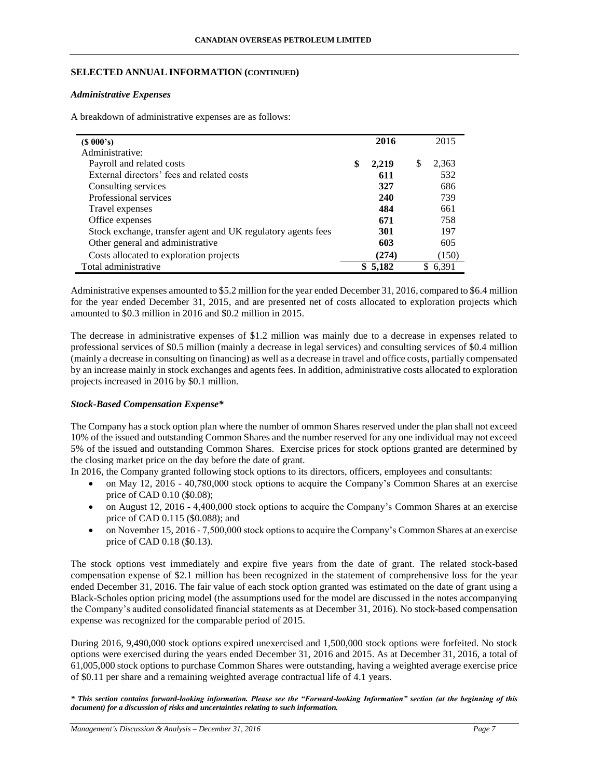## **SELECTED ANNUAL INFORMATION (CONTINUED)**

## *Administrative Expenses*

A breakdown of administrative expenses are as follows:

| (S 000's)                                                    | 2016        |   | 2015    |
|--------------------------------------------------------------|-------------|---|---------|
| Administrative:                                              |             |   |         |
| Payroll and related costs                                    | \$<br>2,219 | S | 2,363   |
| External directors' fees and related costs                   | 611         |   | 532     |
| Consulting services                                          | 327         |   | 686     |
| Professional services                                        | 240         |   | 739     |
| Travel expenses                                              | 484         |   | 661     |
| Office expenses                                              | 671         |   | 758     |
| Stock exchange, transfer agent and UK regulatory agents fees | 301         |   | 197     |
| Other general and administrative                             | 603         |   | 605     |
| Costs allocated to exploration projects                      | (274)       |   | (150)   |
| Total administrative                                         | \$5,182     |   | \$6,391 |

Administrative expenses amounted to \$5.2 million for the year ended December 31, 2016, compared to \$6.4 million for the year ended December 31, 2015, and are presented net of costs allocated to exploration projects which amounted to \$0.3 million in 2016 and \$0.2 million in 2015.

The decrease in administrative expenses of \$1.2 million was mainly due to a decrease in expenses related to professional services of \$0.5 million (mainly a decrease in legal services) and consulting services of \$0.4 million (mainly a decrease in consulting on financing) as well as a decrease in travel and office costs, partially compensated by an increase mainly in stock exchanges and agents fees. In addition, administrative costs allocated to exploration projects increased in 2016 by \$0.1 million.

# *Stock-Based Compensation Expense\**

The Company has a stock option plan where the number of ommon Shares reserved under the plan shall not exceed 10% of the issued and outstanding Common Shares and the number reserved for any one individual may not exceed 5% of the issued and outstanding Common Shares. Exercise prices for stock options granted are determined by the closing market price on the day before the date of grant.

In 2016, the Company granted following stock options to its directors, officers, employees and consultants:

- on May 12, 2016 40,780,000 stock options to acquire the Company's Common Shares at an exercise price of CAD 0.10 (\$0.08);
- on August 12, 2016 4,400,000 stock options to acquire the Company's Common Shares at an exercise price of CAD 0.115 (\$0.088); and
- on November 15, 2016 7,500,000 stock options to acquire the Company's Common Shares at an exercise price of CAD 0.18 (\$0.13).

The stock options vest immediately and expire five years from the date of grant. The related stock-based compensation expense of \$2.1 million has been recognized in the statement of comprehensive loss for the year ended December 31, 2016. The fair value of each stock option granted was estimated on the date of grant using a Black-Scholes option pricing model (the assumptions used for the model are discussed in the notes accompanying the Company's audited consolidated financial statements as at December 31, 2016). No stock-based compensation expense was recognized for the comparable period of 2015.

During 2016, 9,490,000 stock options expired unexercised and 1,500,000 stock options were forfeited. No stock options were exercised during the years ended December 31, 2016 and 2015. As at December 31, 2016, a total of 61,005,000 stock options to purchase Common Shares were outstanding, having a weighted average exercise price of \$0.11 per share and a remaining weighted average contractual life of 4.1 years.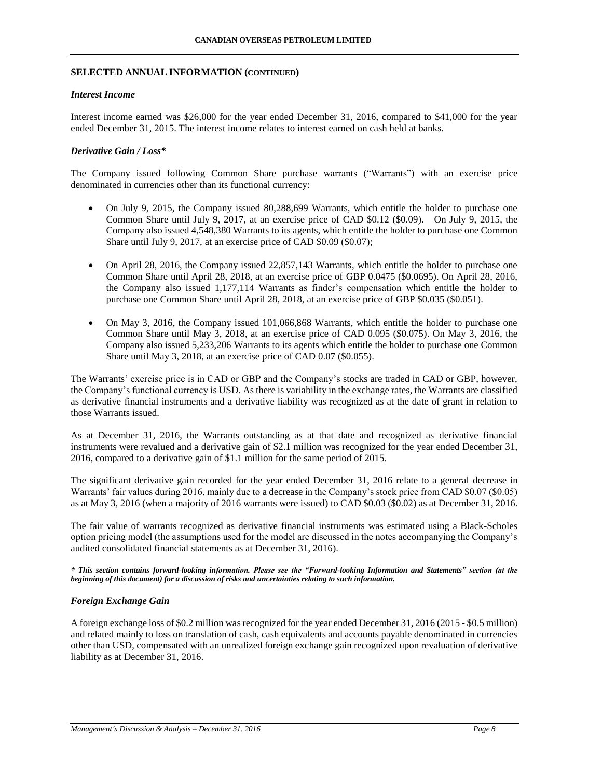## **SELECTED ANNUAL INFORMATION (CONTINUED)**

#### *Interest Income*

Interest income earned was \$26,000 for the year ended December 31, 2016, compared to \$41,000 for the year ended December 31, 2015. The interest income relates to interest earned on cash held at banks.

## *Derivative Gain / Loss\**

The Company issued following Common Share purchase warrants ("Warrants") with an exercise price denominated in currencies other than its functional currency:

- On July 9, 2015, the Company issued 80,288,699 Warrants, which entitle the holder to purchase one Common Share until July 9, 2017, at an exercise price of CAD \$0.12 (\$0.09). On July 9, 2015, the Company also issued 4,548,380 Warrants to its agents, which entitle the holder to purchase one Common Share until July 9, 2017, at an exercise price of CAD \$0.09 (\$0.07);
- On April 28, 2016, the Company issued 22,857,143 Warrants, which entitle the holder to purchase one Common Share until April 28, 2018, at an exercise price of GBP 0.0475 (\$0.0695). On April 28, 2016, the Company also issued 1,177,114 Warrants as finder's compensation which entitle the holder to purchase one Common Share until April 28, 2018, at an exercise price of GBP \$0.035 (\$0.051).
- On May 3, 2016, the Company issued 101,066,868 Warrants, which entitle the holder to purchase one Common Share until May 3, 2018, at an exercise price of CAD 0.095 (\$0.075). On May 3, 2016, the Company also issued 5,233,206 Warrants to its agents which entitle the holder to purchase one Common Share until May 3, 2018, at an exercise price of CAD 0.07 (\$0.055).

The Warrants' exercise price is in CAD or GBP and the Company's stocks are traded in CAD or GBP, however, the Company's functional currency is USD. As there is variability in the exchange rates, the Warrants are classified as derivative financial instruments and a derivative liability was recognized as at the date of grant in relation to those Warrants issued.

As at December 31, 2016, the Warrants outstanding as at that date and recognized as derivative financial instruments were revalued and a derivative gain of \$2.1 million was recognized for the year ended December 31, 2016, compared to a derivative gain of \$1.1 million for the same period of 2015.

The significant derivative gain recorded for the year ended December 31, 2016 relate to a general decrease in Warrants' fair values during 2016, mainly due to a decrease in the Company's stock price from CAD \$0.07 (\$0.05) as at May 3, 2016 (when a majority of 2016 warrants were issued) to CAD \$0.03 (\$0.02) as at December 31, 2016.

The fair value of warrants recognized as derivative financial instruments was estimated using a Black-Scholes option pricing model (the assumptions used for the model are discussed in the notes accompanying the Company's audited consolidated financial statements as at December 31, 2016).

*\* This section contains forward-looking information. Please see the "Forward-looking Information and Statements" section (at the beginning of this document) for a discussion of risks and uncertainties relating to such information.*

## *Foreign Exchange Gain*

A foreign exchange loss of \$0.2 million was recognized for the year ended December 31, 2016 (2015 - \$0.5 million) and related mainly to loss on translation of cash, cash equivalents and accounts payable denominated in currencies other than USD, compensated with an unrealized foreign exchange gain recognized upon revaluation of derivative liability as at December 31, 2016.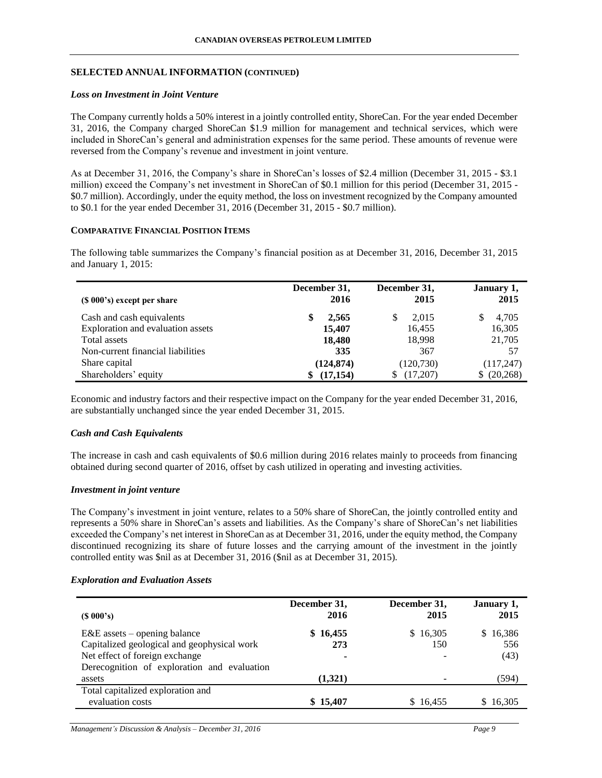## **SELECTED ANNUAL INFORMATION (CONTINUED)**

## *Loss on Investment in Joint Venture*

The Company currently holds a 50% interest in a jointly controlled entity, ShoreCan. For the year ended December 31, 2016, the Company charged ShoreCan \$1.9 million for management and technical services, which were included in ShoreCan's general and administration expenses for the same period. These amounts of revenue were reversed from the Company's revenue and investment in joint venture.

As at December 31, 2016, the Company's share in ShoreCan's losses of \$2.4 million (December 31, 2015 - \$3.1 million) exceed the Company's net investment in ShoreCan of \$0.1 million for this period (December 31, 2015 - \$0.7 million). Accordingly, under the equity method, the loss on investment recognized by the Company amounted to \$0.1 for the year ended December 31, 2016 (December 31, 2015 - \$0.7 million).

## **COMPARATIVE FINANCIAL POSITION ITEMS**

The following table summarizes the Company's financial position as at December 31, 2016, December 31, 2015 and January 1, 2015:

| $(S 000's)$ except per share                                   | December 31,<br>2016 | December 31,<br>2015 | January 1,<br>2015 |
|----------------------------------------------------------------|----------------------|----------------------|--------------------|
| Cash and cash equivalents<br>Exploration and evaluation assets | 2,565<br>15,407      | 2.015<br>16,455      | 4,705<br>16,305    |
| Total assets                                                   | 18,480               | 18,998               | 21,705             |
| Non-current financial liabilities                              | 335                  | 367                  | 57                 |
| Share capital                                                  | (124, 874)           | (120, 730)           | (117,247)          |
| Shareholders' equity                                           | (17, 154)            | (17,207)             | (20, 268)<br>S.    |

Economic and industry factors and their respective impact on the Company for the year ended December 31, 2016, are substantially unchanged since the year ended December 31, 2015.

## *Cash and Cash Equivalents*

The increase in cash and cash equivalents of \$0.6 million during 2016 relates mainly to proceeds from financing obtained during second quarter of 2016, offset by cash utilized in operating and investing activities.

## *Investment in joint venture*

The Company's investment in joint venture, relates to a 50% share of ShoreCan, the jointly controlled entity and represents a 50% share in ShoreCan's assets and liabilities. As the Company's share of ShoreCan's net liabilities exceeded the Company's net interest in ShoreCan as at December 31, 2016, under the equity method, the Company discontinued recognizing its share of future losses and the carrying amount of the investment in the jointly controlled entity was \$nil as at December 31, 2016 (\$nil as at December 31, 2015).

## *Exploration and Evaluation Assets*

| $(S\ 000's)$                                | December 31,<br>2016 | December 31,<br>2015     | January 1,<br>2015 |
|---------------------------------------------|----------------------|--------------------------|--------------------|
| $E&E$ assets – opening balance              | \$16,455             | \$16,305                 | \$16,386           |
| Capitalized geological and geophysical work | 273                  | 150                      | 556                |
| Net effect of foreign exchange              | ۰                    |                          | (43)               |
| Derecognition of exploration and evaluation |                      |                          |                    |
| assets                                      | (1,321)              | $\overline{\phantom{0}}$ | (594)              |
| Total capitalized exploration and           |                      |                          |                    |
| evaluation costs                            | \$15,407             | \$16,455                 | \$16,305           |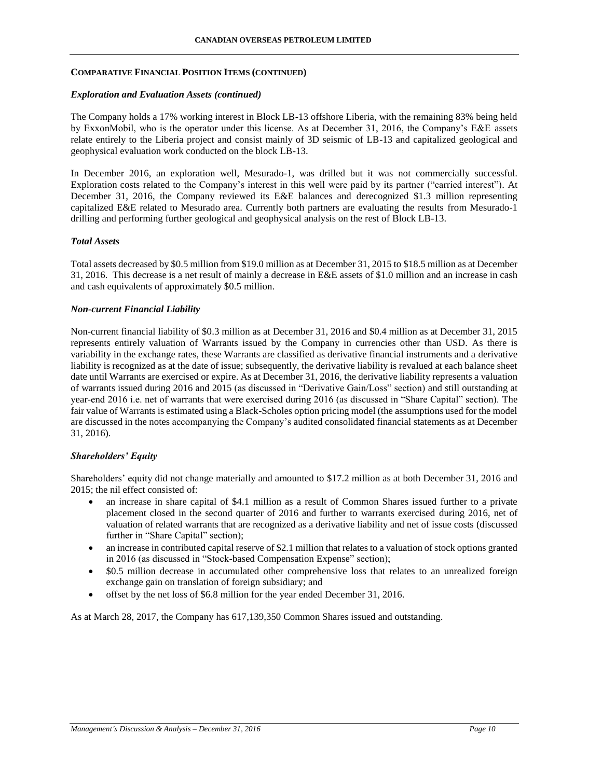## **COMPARATIVE FINANCIAL POSITION ITEMS (CONTINUED)**

## *Exploration and Evaluation Assets (continued)*

The Company holds a 17% working interest in Block LB-13 offshore Liberia, with the remaining 83% being held by ExxonMobil, who is the operator under this license. As at December 31, 2016, the Company's E&E assets relate entirely to the Liberia project and consist mainly of 3D seismic of LB-13 and capitalized geological and geophysical evaluation work conducted on the block LB-13.

In December 2016, an exploration well, Mesurado-1, was drilled but it was not commercially successful. Exploration costs related to the Company's interest in this well were paid by its partner ("carried interest"). At December 31, 2016, the Company reviewed its E&E balances and derecognized \$1.3 million representing capitalized E&E related to Mesurado area. Currently both partners are evaluating the results from Mesurado-1 drilling and performing further geological and geophysical analysis on the rest of Block LB-13.

## *Total Assets*

Total assets decreased by \$0.5 million from \$19.0 million as at December 31, 2015 to \$18.5 million as at December 31, 2016. This decrease is a net result of mainly a decrease in E&E assets of \$1.0 million and an increase in cash and cash equivalents of approximately \$0.5 million.

## *Non-current Financial Liability*

Non-current financial liability of \$0.3 million as at December 31, 2016 and \$0.4 million as at December 31, 2015 represents entirely valuation of Warrants issued by the Company in currencies other than USD. As there is variability in the exchange rates, these Warrants are classified as derivative financial instruments and a derivative liability is recognized as at the date of issue; subsequently, the derivative liability is revalued at each balance sheet date until Warrants are exercised or expire. As at December 31, 2016, the derivative liability represents a valuation of warrants issued during 2016 and 2015 (as discussed in "Derivative Gain/Loss" section) and still outstanding at year-end 2016 i.e. net of warrants that were exercised during 2016 (as discussed in "Share Capital" section). The fair value of Warrants is estimated using a Black-Scholes option pricing model (the assumptions used for the model are discussed in the notes accompanying the Company's audited consolidated financial statements as at December 31, 2016).

## *Shareholders' Equity*

Shareholders' equity did not change materially and amounted to \$17.2 million as at both December 31, 2016 and 2015; the nil effect consisted of:

- an increase in share capital of \$4.1 million as a result of Common Shares issued further to a private placement closed in the second quarter of 2016 and further to warrants exercised during 2016, net of valuation of related warrants that are recognized as a derivative liability and net of issue costs (discussed further in "Share Capital" section);
- an increase in contributed capital reserve of \$2.1 million that relates to a valuation of stock options granted in 2016 (as discussed in "Stock-based Compensation Expense" section);
- \$0.5 million decrease in accumulated other comprehensive loss that relates to an unrealized foreign exchange gain on translation of foreign subsidiary; and
- offset by the net loss of \$6.8 million for the year ended December 31, 2016.

As at March 28, 2017, the Company has 617,139,350 Common Shares issued and outstanding.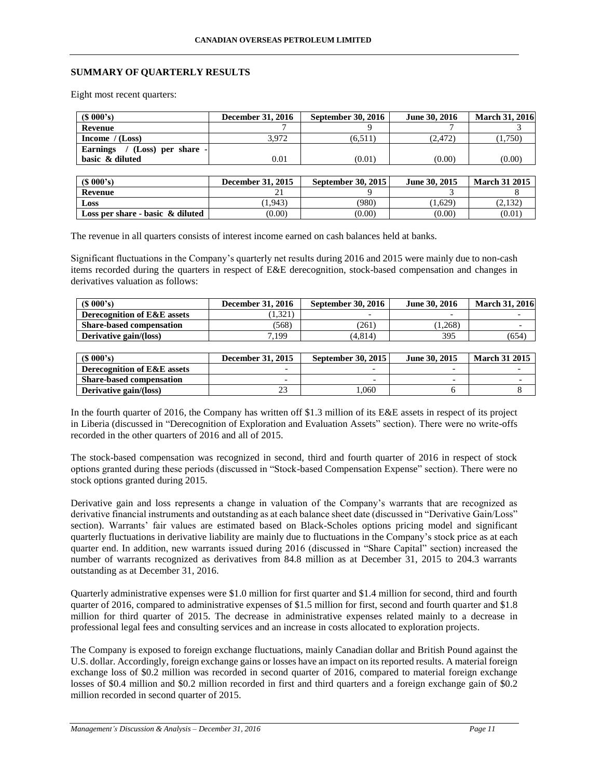## **SUMMARY OF QUARTERLY RESULTS**

Eight most recent quarters:

| $(S\ 000's)$                              | <b>December 31, 2016</b> | <b>September 30, 2016</b> | June 30, 2016 | <b>March 31, 2016</b> |
|-------------------------------------------|--------------------------|---------------------------|---------------|-----------------------|
| Revenue                                   |                          |                           |               |                       |
| Income $/(Loss)$                          | 3.972                    | (6.511)                   | (2.472)       | (1,750)               |
| $/$ (Loss) per share -<br><b>Earnings</b> |                          |                           |               |                       |
| basic & diluted                           | 0.01                     | (0.01)                    | (0.00)        | (0.00)                |
|                                           |                          |                           |               |                       |
| $(S\ 000's)$                              | <b>December 31, 2015</b> | September 30, 2015        | June 30, 2015 | <b>March 31 2015</b>  |
|                                           |                          |                           |               |                       |

| (S 000's)                           | December 31, 2015 | September 30, 2015 | June 30, 2015 | <b>March 31 2015</b> |
|-------------------------------------|-------------------|--------------------|---------------|----------------------|
| Revenue                             | <u>_</u>          |                    |               |                      |
| Loss                                | 1.943             | (980)              | 1.629         | (2, 132)             |
| Loss per share - basic $\&$ diluted | (0.00)            | (0.00)             | (0.00)        | (0.01)               |

The revenue in all quarters consists of interest income earned on cash balances held at banks.

Significant fluctuations in the Company's quarterly net results during 2016 and 2015 were mainly due to non-cash items recorded during the quarters in respect of E&E derecognition, stock-based compensation and changes in derivatives valuation as follows:

| $(S\ 000's)$                           | <b>December 31, 2016</b> | <b>September 30, 2016</b> | June 30, 2016 | <b>March 31, 2016</b> |
|----------------------------------------|--------------------------|---------------------------|---------------|-----------------------|
| <b>Derecognition of E&amp;E assets</b> | 1,321                    |                           |               |                       |
| <b>Share-based compensation</b>        | (568)                    | (261)                     | 1.268)        |                       |
| Derivative gain/(loss)                 | ,199                     | (4.814)                   | 395           | (654)                 |

| $(S\ 000's)$                           | December 31, 2015 | <b>September 30, 2015</b> | June 30, 2015 | <b>March 31 2015</b> |
|----------------------------------------|-------------------|---------------------------|---------------|----------------------|
| <b>Derecognition of E&amp;E assets</b> |                   |                           |               |                      |
| <b>Share-based compensation</b>        |                   | $\overline{\phantom{0}}$  | -             |                      |
| Derivative gain/(loss)                 | --                | .060                      |               |                      |

In the fourth quarter of 2016, the Company has written off \$1.3 million of its E&E assets in respect of its project in Liberia (discussed in "Derecognition of Exploration and Evaluation Assets" section). There were no write-offs recorded in the other quarters of 2016 and all of 2015.

The stock-based compensation was recognized in second, third and fourth quarter of 2016 in respect of stock options granted during these periods (discussed in "Stock-based Compensation Expense" section). There were no stock options granted during 2015.

Derivative gain and loss represents a change in valuation of the Company's warrants that are recognized as derivative financial instruments and outstanding as at each balance sheet date (discussed in "Derivative Gain/Loss" section). Warrants' fair values are estimated based on Black-Scholes options pricing model and significant quarterly fluctuations in derivative liability are mainly due to fluctuations in the Company's stock price as at each quarter end. In addition, new warrants issued during 2016 (discussed in "Share Capital" section) increased the number of warrants recognized as derivatives from 84.8 million as at December 31, 2015 to 204.3 warrants outstanding as at December 31, 2016.

Quarterly administrative expenses were \$1.0 million for first quarter and \$1.4 million for second, third and fourth quarter of 2016, compared to administrative expenses of \$1.5 million for first, second and fourth quarter and \$1.8 million for third quarter of 2015. The decrease in administrative expenses related mainly to a decrease in professional legal fees and consulting services and an increase in costs allocated to exploration projects.

The Company is exposed to foreign exchange fluctuations, mainly Canadian dollar and British Pound against the U.S. dollar. Accordingly, foreign exchange gains or losses have an impact on its reported results. A material foreign exchange loss of \$0.2 million was recorded in second quarter of 2016, compared to material foreign exchange losses of \$0.4 million and \$0.2 million recorded in first and third quarters and a foreign exchange gain of \$0.2 million recorded in second quarter of 2015.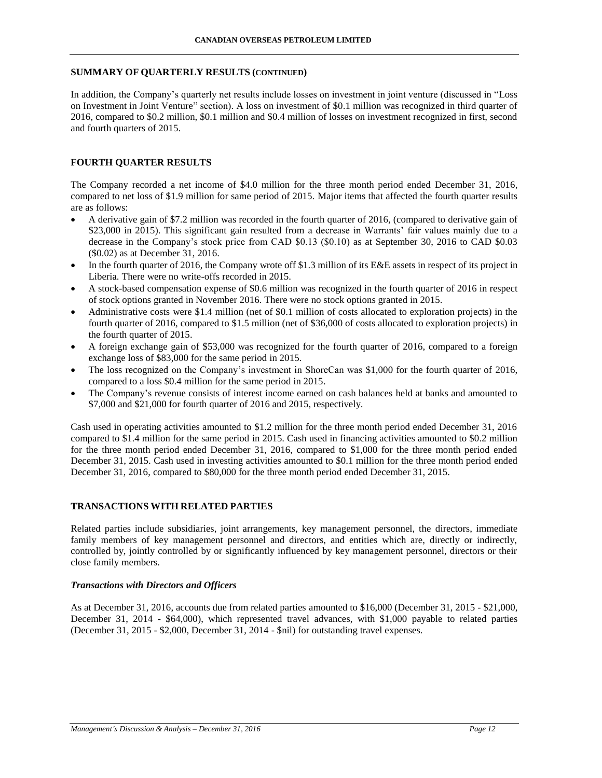### **SUMMARY OF QUARTERLY RESULTS (CONTINUED)**

In addition, the Company's quarterly net results include losses on investment in joint venture (discussed in "Loss on Investment in Joint Venture" section). A loss on investment of \$0.1 million was recognized in third quarter of 2016, compared to \$0.2 million, \$0.1 million and \$0.4 million of losses on investment recognized in first, second and fourth quarters of 2015.

# **FOURTH QUARTER RESULTS**

The Company recorded a net income of \$4.0 million for the three month period ended December 31, 2016, compared to net loss of \$1.9 million for same period of 2015. Major items that affected the fourth quarter results are as follows:

- A derivative gain of \$7.2 million was recorded in the fourth quarter of 2016, (compared to derivative gain of \$23,000 in 2015). This significant gain resulted from a decrease in Warrants' fair values mainly due to a decrease in the Company's stock price from CAD \$0.13 (\$0.10) as at September 30, 2016 to CAD \$0.03 (\$0.02) as at December 31, 2016.
- In the fourth quarter of 2016, the Company wrote off \$1.3 million of its E&E assets in respect of its project in Liberia. There were no write-offs recorded in 2015.
- A stock-based compensation expense of \$0.6 million was recognized in the fourth quarter of 2016 in respect of stock options granted in November 2016. There were no stock options granted in 2015.
- Administrative costs were \$1.4 million (net of \$0.1 million of costs allocated to exploration projects) in the fourth quarter of 2016, compared to \$1.5 million (net of \$36,000 of costs allocated to exploration projects) in the fourth quarter of 2015.
- A foreign exchange gain of \$53,000 was recognized for the fourth quarter of 2016, compared to a foreign exchange loss of \$83,000 for the same period in 2015.
- The loss recognized on the Company's investment in ShoreCan was \$1,000 for the fourth quarter of 2016, compared to a loss \$0.4 million for the same period in 2015.
- The Company's revenue consists of interest income earned on cash balances held at banks and amounted to \$7,000 and \$21,000 for fourth quarter of 2016 and 2015, respectively.

Cash used in operating activities amounted to \$1.2 million for the three month period ended December 31, 2016 compared to \$1.4 million for the same period in 2015. Cash used in financing activities amounted to \$0.2 million for the three month period ended December 31, 2016, compared to \$1,000 for the three month period ended December 31, 2015. Cash used in investing activities amounted to \$0.1 million for the three month period ended December 31, 2016, compared to \$80,000 for the three month period ended December 31, 2015.

## **TRANSACTIONS WITH RELATED PARTIES**

Related parties include subsidiaries, joint arrangements, key management personnel, the directors, immediate family members of key management personnel and directors, and entities which are, directly or indirectly, controlled by, jointly controlled by or significantly influenced by key management personnel, directors or their close family members.

#### *Transactions with Directors and Officers*

As at December 31, 2016, accounts due from related parties amounted to \$16,000 (December 31, 2015 - \$21,000, December 31, 2014 - \$64,000), which represented travel advances, with \$1,000 payable to related parties (December 31, 2015 - \$2,000, December 31, 2014 - \$nil) for outstanding travel expenses.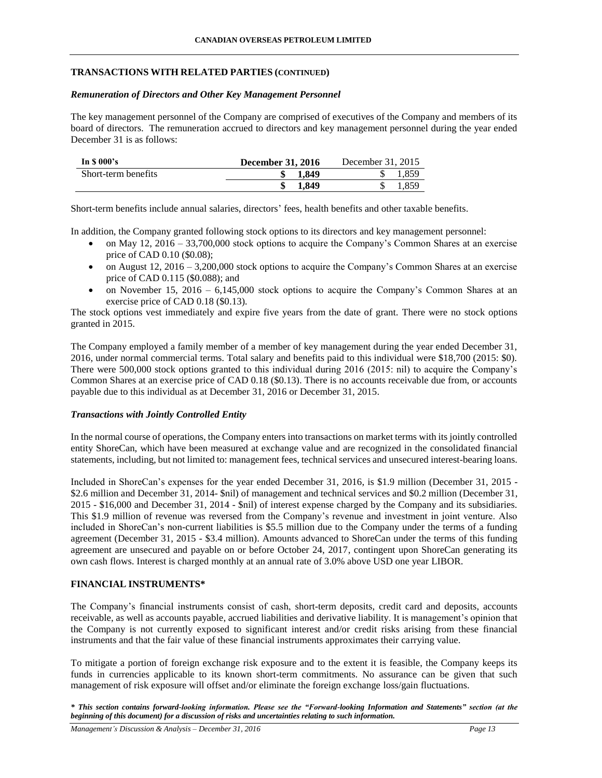## **TRANSACTIONS WITH RELATED PARTIES (CONTINUED)**

## *Remuneration of Directors and Other Key Management Personnel*

The key management personnel of the Company are comprised of executives of the Company and members of its board of directors. The remuneration accrued to directors and key management personnel during the year ended December 31 is as follows:

| In $\mathbf S$ 000's | December 31, 2016 | December 31, 2015 |
|----------------------|-------------------|-------------------|
| Short-term benefits  | 1.849             | 1.859             |
|                      | 1.849             | .859              |

Short-term benefits include annual salaries, directors' fees, health benefits and other taxable benefits.

In addition, the Company granted following stock options to its directors and key management personnel:

- on May 12, 2016 33,700,000 stock options to acquire the Company's Common Shares at an exercise price of CAD 0.10 (\$0.08);
- $\bullet$  on August 12, 2016 3,200,000 stock options to acquire the Company's Common Shares at an exercise price of CAD 0.115 (\$0.088); and
- on November 15, 2016 6,145,000 stock options to acquire the Company's Common Shares at an exercise price of CAD 0.18 (\$0.13).

The stock options vest immediately and expire five years from the date of grant. There were no stock options granted in 2015.

The Company employed a family member of a member of key management during the year ended December 31, 2016, under normal commercial terms. Total salary and benefits paid to this individual were \$18,700 (2015: \$0). There were 500,000 stock options granted to this individual during 2016 (2015: nil) to acquire the Company's Common Shares at an exercise price of CAD 0.18 (\$0.13). There is no accounts receivable due from, or accounts payable due to this individual as at December 31, 2016 or December 31, 2015.

## *Transactions with Jointly Controlled Entity*

In the normal course of operations, the Company enters into transactions on market terms with its jointly controlled entity ShoreCan, which have been measured at exchange value and are recognized in the consolidated financial statements, including, but not limited to: management fees, technical services and unsecured interest-bearing loans.

Included in ShoreCan's expenses for the year ended December 31, 2016, is \$1.9 million (December 31, 2015 - \$2.6 million and December 31, 2014- \$nil) of management and technical services and \$0.2 million (December 31, 2015 - \$16,000 and December 31, 2014 - \$nil) of interest expense charged by the Company and its subsidiaries. This \$1.9 million of revenue was reversed from the Company's revenue and investment in joint venture. Also included in ShoreCan's non-current liabilities is \$5.5 million due to the Company under the terms of a funding agreement (December 31, 2015 - \$3.4 million). Amounts advanced to ShoreCan under the terms of this funding agreement are unsecured and payable on or before October 24, 2017, contingent upon ShoreCan generating its own cash flows. Interest is charged monthly at an annual rate of 3.0% above USD one year LIBOR.

# **FINANCIAL INSTRUMENTS\***

The Company's financial instruments consist of cash, short-term deposits, credit card and deposits, accounts receivable, as well as accounts payable, accrued liabilities and derivative liability. It is management's opinion that the Company is not currently exposed to significant interest and/or credit risks arising from these financial instruments and that the fair value of these financial instruments approximates their carrying value.

To mitigate a portion of foreign exchange risk exposure and to the extent it is feasible, the Company keeps its funds in currencies applicable to its known short-term commitments. No assurance can be given that such management of risk exposure will offset and/or eliminate the foreign exchange loss/gain fluctuations.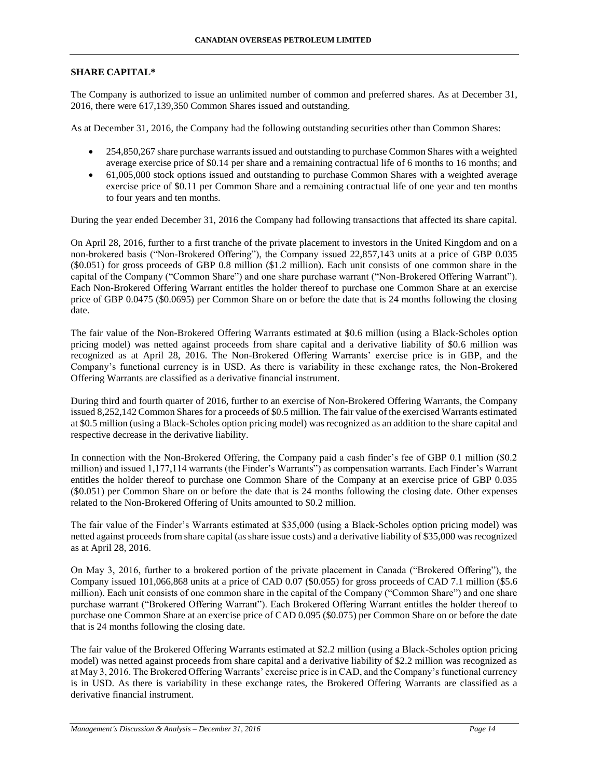## **SHARE CAPITAL\***

The Company is authorized to issue an unlimited number of common and preferred shares. As at December 31, 2016, there were 617,139,350 Common Shares issued and outstanding.

As at December 31, 2016, the Company had the following outstanding securities other than Common Shares:

- 254,850,267 share purchase warrants issued and outstanding to purchase Common Shares with a weighted average exercise price of \$0.14 per share and a remaining contractual life of 6 months to 16 months; and
- 61,005,000 stock options issued and outstanding to purchase Common Shares with a weighted average exercise price of \$0.11 per Common Share and a remaining contractual life of one year and ten months to four years and ten months.

During the year ended December 31, 2016 the Company had following transactions that affected its share capital.

On April 28, 2016, further to a first tranche of the private placement to investors in the United Kingdom and on a non-brokered basis ("Non-Brokered Offering"), the Company issued 22,857,143 units at a price of GBP 0.035 (\$0.051) for gross proceeds of GBP 0.8 million (\$1.2 million). Each unit consists of one common share in the capital of the Company ("Common Share") and one share purchase warrant ("Non-Brokered Offering Warrant"). Each Non-Brokered Offering Warrant entitles the holder thereof to purchase one Common Share at an exercise price of GBP 0.0475 (\$0.0695) per Common Share on or before the date that is 24 months following the closing date.

The fair value of the Non-Brokered Offering Warrants estimated at \$0.6 million (using a Black-Scholes option pricing model) was netted against proceeds from share capital and a derivative liability of \$0.6 million was recognized as at April 28, 2016. The Non-Brokered Offering Warrants' exercise price is in GBP, and the Company's functional currency is in USD. As there is variability in these exchange rates, the Non-Brokered Offering Warrants are classified as a derivative financial instrument.

During third and fourth quarter of 2016, further to an exercise of Non-Brokered Offering Warrants, the Company issued 8,252,142 Common Shares for a proceeds of \$0.5 million. The fair value of the exercised Warrants estimated at \$0.5 million (using a Black-Scholes option pricing model) was recognized as an addition to the share capital and respective decrease in the derivative liability.

In connection with the Non-Brokered Offering, the Company paid a cash finder's fee of GBP 0.1 million (\$0.2 million) and issued 1,177,114 warrants (the Finder's Warrants") as compensation warrants. Each Finder's Warrant entitles the holder thereof to purchase one Common Share of the Company at an exercise price of GBP 0.035 (\$0.051) per Common Share on or before the date that is 24 months following the closing date. Other expenses related to the Non-Brokered Offering of Units amounted to \$0.2 million.

The fair value of the Finder's Warrants estimated at \$35,000 (using a Black-Scholes option pricing model) was netted against proceeds from share capital (as share issue costs) and a derivative liability of \$35,000 was recognized as at April 28, 2016.

On May 3, 2016, further to a brokered portion of the private placement in Canada ("Brokered Offering"), the Company issued 101,066,868 units at a price of CAD 0.07 (\$0.055) for gross proceeds of CAD 7.1 million (\$5.6 million). Each unit consists of one common share in the capital of the Company ("Common Share") and one share purchase warrant ("Brokered Offering Warrant"). Each Brokered Offering Warrant entitles the holder thereof to purchase one Common Share at an exercise price of CAD 0.095 (\$0.075) per Common Share on or before the date that is 24 months following the closing date.

The fair value of the Brokered Offering Warrants estimated at \$2.2 million (using a Black-Scholes option pricing model) was netted against proceeds from share capital and a derivative liability of \$2.2 million was recognized as at May 3, 2016. The Brokered Offering Warrants' exercise price is in CAD, and the Company's functional currency is in USD. As there is variability in these exchange rates, the Brokered Offering Warrants are classified as a derivative financial instrument.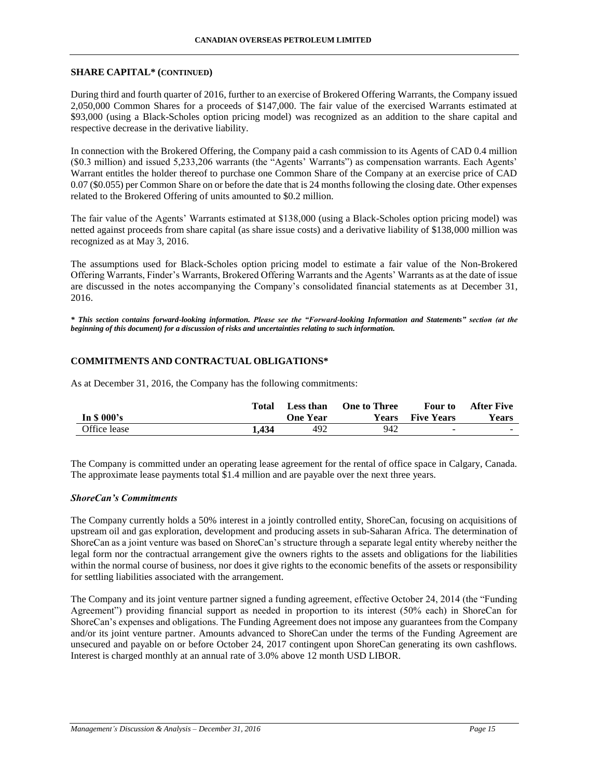## **SHARE CAPITAL\* (CONTINUED)**

During third and fourth quarter of 2016, further to an exercise of Brokered Offering Warrants, the Company issued 2,050,000 Common Shares for a proceeds of \$147,000. The fair value of the exercised Warrants estimated at \$93,000 (using a Black-Scholes option pricing model) was recognized as an addition to the share capital and respective decrease in the derivative liability.

In connection with the Brokered Offering, the Company paid a cash commission to its Agents of CAD 0.4 million (\$0.3 million) and issued 5,233,206 warrants (the "Agents' Warrants") as compensation warrants. Each Agents' Warrant entitles the holder thereof to purchase one Common Share of the Company at an exercise price of CAD 0.07 (\$0.055) per Common Share on or before the date that is 24 months following the closing date. Other expenses related to the Brokered Offering of units amounted to \$0.2 million.

The fair value of the Agents' Warrants estimated at \$138,000 (using a Black-Scholes option pricing model) was netted against proceeds from share capital (as share issue costs) and a derivative liability of \$138,000 million was recognized as at May 3, 2016.

The assumptions used for Black-Scholes option pricing model to estimate a fair value of the Non-Brokered Offering Warrants, Finder's Warrants, Brokered Offering Warrants and the Agents' Warrants as at the date of issue are discussed in the notes accompanying the Company's consolidated financial statements as at December 31, 2016.

*\* This section contains forward-looking information. Please see the "Forward-looking Information and Statements" section (at the beginning of this document) for a discussion of risks and uncertainties relating to such information.*

## **COMMITMENTS AND CONTRACTUAL OBLIGATIONS\***

As at December 31, 2016, the Company has the following commitments:

|              | Total | Less than       | <b>One to Three</b> | <b>Four to</b>    | <b>After Five</b> |
|--------------|-------|-----------------|---------------------|-------------------|-------------------|
| In $$000's$  |       | <b>One Year</b> | Years               | <b>Five Years</b> | <b>Years</b>      |
| Office lease | 1.434 | 492             | 942                 | -                 | $\sim$ 100 $\sim$ |

The Company is committed under an operating lease agreement for the rental of office space in Calgary, Canada. The approximate lease payments total \$1.4 million and are payable over the next three years.

## *ShoreCan's Commitments*

The Company currently holds a 50% interest in a jointly controlled entity, ShoreCan, focusing on acquisitions of upstream oil and gas exploration, development and producing assets in sub-Saharan Africa. The determination of ShoreCan as a joint venture was based on ShoreCan's structure through a separate legal entity whereby neither the legal form nor the contractual arrangement give the owners rights to the assets and obligations for the liabilities within the normal course of business, nor does it give rights to the economic benefits of the assets or responsibility for settling liabilities associated with the arrangement.

The Company and its joint venture partner signed a funding agreement, effective October 24, 2014 (the "Funding Agreement") providing financial support as needed in proportion to its interest (50% each) in ShoreCan for ShoreCan's expenses and obligations. The Funding Agreement does not impose any guarantees from the Company and/or its joint venture partner. Amounts advanced to ShoreCan under the terms of the Funding Agreement are unsecured and payable on or before October 24, 2017 contingent upon ShoreCan generating its own cashflows. Interest is charged monthly at an annual rate of 3.0% above 12 month USD LIBOR.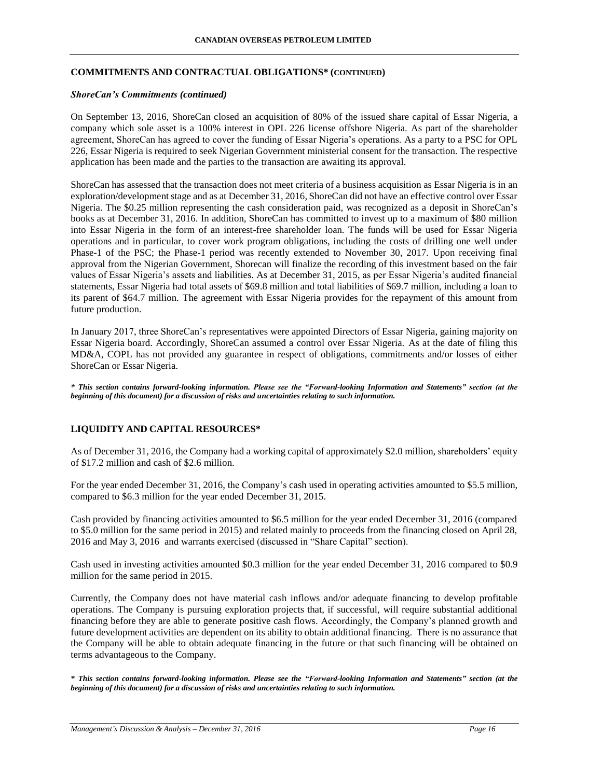#### **CANADIAN OVERSEAS PETROLEUM LIMITED**

## **COMMITMENTS AND CONTRACTUAL OBLIGATIONS\* (CONTINUED)**

## *ShoreCan's Commitments (continued)*

On September 13, 2016, ShoreCan closed an acquisition of 80% of the issued share capital of Essar Nigeria, a company which sole asset is a 100% interest in OPL 226 license offshore Nigeria. As part of the shareholder agreement, ShoreCan has agreed to cover the funding of Essar Nigeria's operations. As a party to a PSC for OPL 226, Essar Nigeria is required to seek Nigerian Government ministerial consent for the transaction. The respective application has been made and the parties to the transaction are awaiting its approval.

ShoreCan has assessed that the transaction does not meet criteria of a business acquisition as Essar Nigeria is in an exploration/development stage and as at December 31, 2016, ShoreCan did not have an effective control over Essar Nigeria. The \$0.25 million representing the cash consideration paid, was recognized as a deposit in ShoreCan's books as at December 31, 2016. In addition, ShoreCan has committed to invest up to a maximum of \$80 million into Essar Nigeria in the form of an interest-free shareholder loan. The funds will be used for Essar Nigeria operations and in particular, to cover work program obligations, including the costs of drilling one well under Phase-1 of the PSC; the Phase-1 period was recently extended to November 30, 2017. Upon receiving final approval from the Nigerian Government, Shorecan will finalize the recording of this investment based on the fair values of Essar Nigeria's assets and liabilities. As at December 31, 2015, as per Essar Nigeria's audited financial statements, Essar Nigeria had total assets of \$69.8 million and total liabilities of \$69.7 million, including a loan to its parent of \$64.7 million. The agreement with Essar Nigeria provides for the repayment of this amount from future production.

In January 2017, three ShoreCan's representatives were appointed Directors of Essar Nigeria, gaining majority on Essar Nigeria board. Accordingly, ShoreCan assumed a control over Essar Nigeria. As at the date of filing this MD&A, COPL has not provided any guarantee in respect of obligations, commitments and/or losses of either ShoreCan or Essar Nigeria.

*\* This section contains forward-looking information. Please see the "Forward-looking Information and Statements" section (at the beginning of this document) for a discussion of risks and uncertainties relating to such information.*

# **LIQUIDITY AND CAPITAL RESOURCES\***

As of December 31, 2016, the Company had a working capital of approximately \$2.0 million, shareholders' equity of \$17.2 million and cash of \$2.6 million.

For the year ended December 31, 2016, the Company's cash used in operating activities amounted to \$5.5 million, compared to \$6.3 million for the year ended December 31, 2015.

Cash provided by financing activities amounted to \$6.5 million for the year ended December 31, 2016 (compared to \$5.0 million for the same period in 2015) and related mainly to proceeds from the financing closed on April 28, 2016 and May 3, 2016 and warrants exercised (discussed in "Share Capital" section).

Cash used in investing activities amounted \$0.3 million for the year ended December 31, 2016 compared to \$0.9 million for the same period in 2015.

Currently, the Company does not have material cash inflows and/or adequate financing to develop profitable operations. The Company is pursuing exploration projects that, if successful, will require substantial additional financing before they are able to generate positive cash flows. Accordingly, the Company's planned growth and future development activities are dependent on its ability to obtain additional financing. There is no assurance that the Company will be able to obtain adequate financing in the future or that such financing will be obtained on terms advantageous to the Company.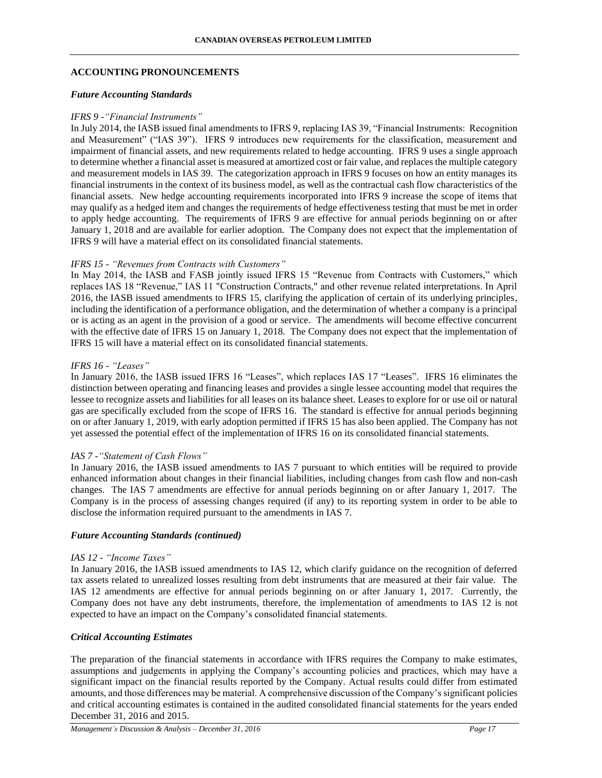## **ACCOUNTING PRONOUNCEMENTS**

## *Future Accounting Standards*

#### *IFRS 9 -"Financial Instruments"*

In July 2014, the IASB issued final amendments to IFRS 9, replacing IAS 39, "Financial Instruments: Recognition and Measurement" ("IAS 39"). IFRS 9 introduces new requirements for the classification, measurement and impairment of financial assets, and new requirements related to hedge accounting. IFRS 9 uses a single approach to determine whether a financial asset is measured at amortized cost or fair value, and replaces the multiple category and measurement models in IAS 39. The categorization approach in IFRS 9 focuses on how an entity manages its financial instruments in the context of its business model, as well as the contractual cash flow characteristics of the financial assets. New hedge accounting requirements incorporated into IFRS 9 increase the scope of items that may qualify as a hedged item and changes the requirements of hedge effectiveness testing that must be met in order to apply hedge accounting. The requirements of IFRS 9 are effective for annual periods beginning on or after January 1, 2018 and are available for earlier adoption. The Company does not expect that the implementation of IFRS 9 will have a material effect on its consolidated financial statements.

## *IFRS 15 - "Revenues from Contracts with Customers"*

In May 2014, the IASB and FASB jointly issued IFRS 15 "Revenue from Contracts with Customers," which replaces IAS 18 "Revenue," IAS 11 "Construction Contracts," and other revenue related interpretations. In April 2016, the IASB issued amendments to IFRS 15, clarifying the application of certain of its underlying principles, including the identification of a performance obligation, and the determination of whether a company is a principal or is acting as an agent in the provision of a good or service. The amendments will become effective concurrent with the effective date of IFRS 15 on January 1, 2018. The Company does not expect that the implementation of IFRS 15 will have a material effect on its consolidated financial statements.

#### *IFRS 16 - "Leases"*

In January 2016, the IASB issued IFRS 16 "Leases", which replaces IAS 17 "Leases". IFRS 16 eliminates the distinction between operating and financing leases and provides a single lessee accounting model that requires the lessee to recognize assets and liabilities for all leases on its balance sheet. Leases to explore for or use oil or natural gas are specifically excluded from the scope of IFRS 16. The standard is effective for annual periods beginning on or after January 1, 2019, with early adoption permitted if IFRS 15 has also been applied. The Company has not yet assessed the potential effect of the implementation of IFRS 16 on its consolidated financial statements.

## *IAS 7 -"Statement of Cash Flows"*

In January 2016, the IASB issued amendments to IAS 7 pursuant to which entities will be required to provide enhanced information about changes in their financial liabilities, including changes from cash flow and non-cash changes. The IAS 7 amendments are effective for annual periods beginning on or after January 1, 2017. The Company is in the process of assessing changes required (if any) to its reporting system in order to be able to disclose the information required pursuant to the amendments in IAS 7.

# *Future Accounting Standards (continued)*

#### *IAS 12 - "Income Taxes"*

In January 2016, the IASB issued amendments to IAS 12, which clarify guidance on the recognition of deferred tax assets related to unrealized losses resulting from debt instruments that are measured at their fair value. The IAS 12 amendments are effective for annual periods beginning on or after January 1, 2017. Currently, the Company does not have any debt instruments, therefore, the implementation of amendments to IAS 12 is not expected to have an impact on the Company's consolidated financial statements.

## *Critical Accounting Estimates*

The preparation of the financial statements in accordance with IFRS requires the Company to make estimates, assumptions and judgements in applying the Company's accounting policies and practices, which may have a significant impact on the financial results reported by the Company. Actual results could differ from estimated amounts, and those differences may be material. A comprehensive discussion of the Company's significant policies and critical accounting estimates is contained in the audited consolidated financial statements for the years ended December 31, 2016 and 2015.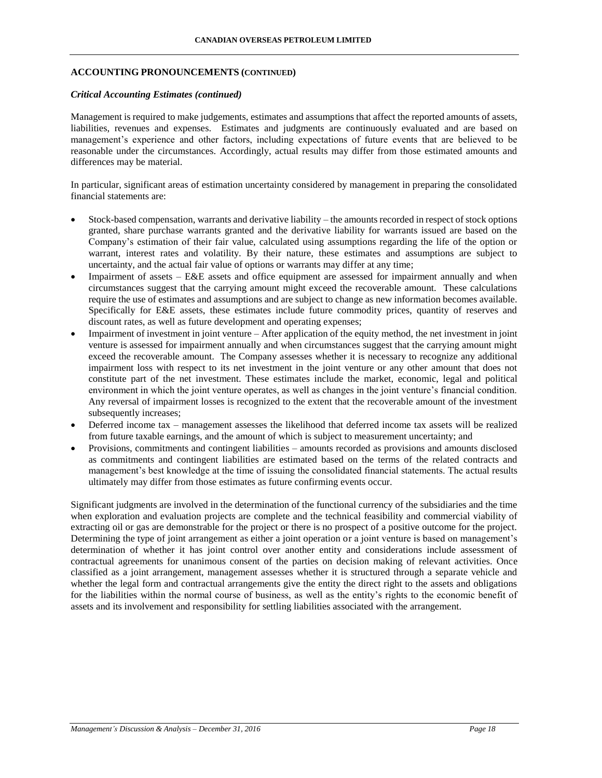## **ACCOUNTING PRONOUNCEMENTS (CONTINUED)**

### *Critical Accounting Estimates (continued)*

Management is required to make judgements, estimates and assumptions that affect the reported amounts of assets, liabilities, revenues and expenses. Estimates and judgments are continuously evaluated and are based on management's experience and other factors, including expectations of future events that are believed to be reasonable under the circumstances. Accordingly, actual results may differ from those estimated amounts and differences may be material.

In particular, significant areas of estimation uncertainty considered by management in preparing the consolidated financial statements are:

- Stock-based compensation, warrants and derivative liability the amounts recorded in respect of stock options granted, share purchase warrants granted and the derivative liability for warrants issued are based on the Company's estimation of their fair value, calculated using assumptions regarding the life of the option or warrant, interest rates and volatility. By their nature, these estimates and assumptions are subject to uncertainty, and the actual fair value of options or warrants may differ at any time;
- Impairment of assets E&E assets and office equipment are assessed for impairment annually and when circumstances suggest that the carrying amount might exceed the recoverable amount. These calculations require the use of estimates and assumptions and are subject to change as new information becomes available. Specifically for E&E assets, these estimates include future commodity prices, quantity of reserves and discount rates, as well as future development and operating expenses;
- Impairment of investment in joint venture After application of the equity method, the net investment in joint venture is assessed for impairment annually and when circumstances suggest that the carrying amount might exceed the recoverable amount. The Company assesses whether it is necessary to recognize any additional impairment loss with respect to its net investment in the joint venture or any other amount that does not constitute part of the net investment. These estimates include the market, economic, legal and political environment in which the joint venture operates, as well as changes in the joint venture's financial condition. Any reversal of impairment losses is recognized to the extent that the recoverable amount of the investment subsequently increases;
- Deferred income tax management assesses the likelihood that deferred income tax assets will be realized from future taxable earnings, and the amount of which is subject to measurement uncertainty; and
- Provisions, commitments and contingent liabilities amounts recorded as provisions and amounts disclosed as commitments and contingent liabilities are estimated based on the terms of the related contracts and management's best knowledge at the time of issuing the consolidated financial statements. The actual results ultimately may differ from those estimates as future confirming events occur.

Significant judgments are involved in the determination of the functional currency of the subsidiaries and the time when exploration and evaluation projects are complete and the technical feasibility and commercial viability of extracting oil or gas are demonstrable for the project or there is no prospect of a positive outcome for the project. Determining the type of joint arrangement as either a joint operation or a joint venture is based on management's determination of whether it has joint control over another entity and considerations include assessment of contractual agreements for unanimous consent of the parties on decision making of relevant activities. Once classified as a joint arrangement, management assesses whether it is structured through a separate vehicle and whether the legal form and contractual arrangements give the entity the direct right to the assets and obligations for the liabilities within the normal course of business, as well as the entity's rights to the economic benefit of assets and its involvement and responsibility for settling liabilities associated with the arrangement.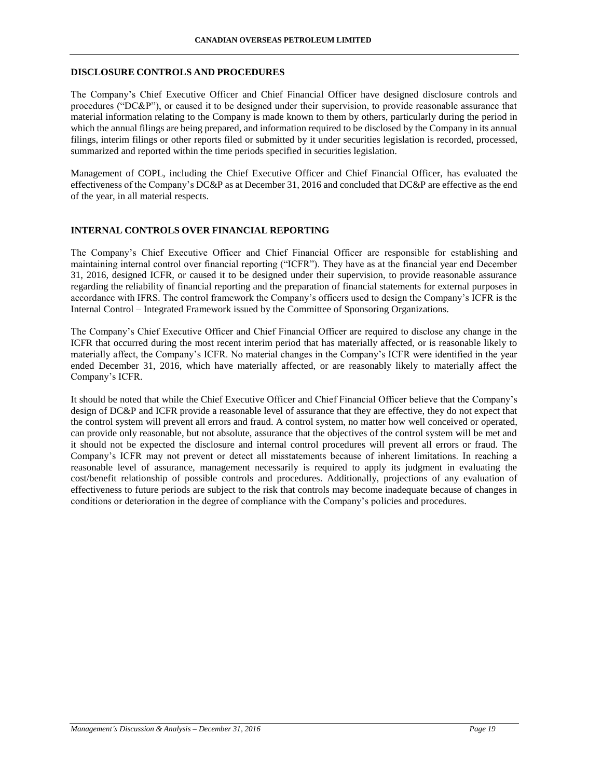### **DISCLOSURE CONTROLS AND PROCEDURES**

The Company's Chief Executive Officer and Chief Financial Officer have designed disclosure controls and procedures ("DC&P"), or caused it to be designed under their supervision, to provide reasonable assurance that material information relating to the Company is made known to them by others, particularly during the period in which the annual filings are being prepared, and information required to be disclosed by the Company in its annual filings, interim filings or other reports filed or submitted by it under securities legislation is recorded, processed, summarized and reported within the time periods specified in securities legislation.

Management of COPL, including the Chief Executive Officer and Chief Financial Officer, has evaluated the effectiveness of the Company's DC&P as at December 31, 2016 and concluded that DC&P are effective as the end of the year, in all material respects.

#### **INTERNAL CONTROLS OVER FINANCIAL REPORTING**

The Company's Chief Executive Officer and Chief Financial Officer are responsible for establishing and maintaining internal control over financial reporting ("ICFR"). They have as at the financial year end December 31, 2016, designed ICFR, or caused it to be designed under their supervision, to provide reasonable assurance regarding the reliability of financial reporting and the preparation of financial statements for external purposes in accordance with IFRS. The control framework the Company's officers used to design the Company's ICFR is the Internal Control – Integrated Framework issued by the Committee of Sponsoring Organizations.

The Company's Chief Executive Officer and Chief Financial Officer are required to disclose any change in the ICFR that occurred during the most recent interim period that has materially affected, or is reasonable likely to materially affect, the Company's ICFR. No material changes in the Company's ICFR were identified in the year ended December 31, 2016, which have materially affected, or are reasonably likely to materially affect the Company's ICFR.

It should be noted that while the Chief Executive Officer and Chief Financial Officer believe that the Company's design of DC&P and ICFR provide a reasonable level of assurance that they are effective, they do not expect that the control system will prevent all errors and fraud. A control system, no matter how well conceived or operated, can provide only reasonable, but not absolute, assurance that the objectives of the control system will be met and it should not be expected the disclosure and internal control procedures will prevent all errors or fraud. The Company's ICFR may not prevent or detect all misstatements because of inherent limitations. In reaching a reasonable level of assurance, management necessarily is required to apply its judgment in evaluating the cost/benefit relationship of possible controls and procedures. Additionally, projections of any evaluation of effectiveness to future periods are subject to the risk that controls may become inadequate because of changes in conditions or deterioration in the degree of compliance with the Company's policies and procedures.